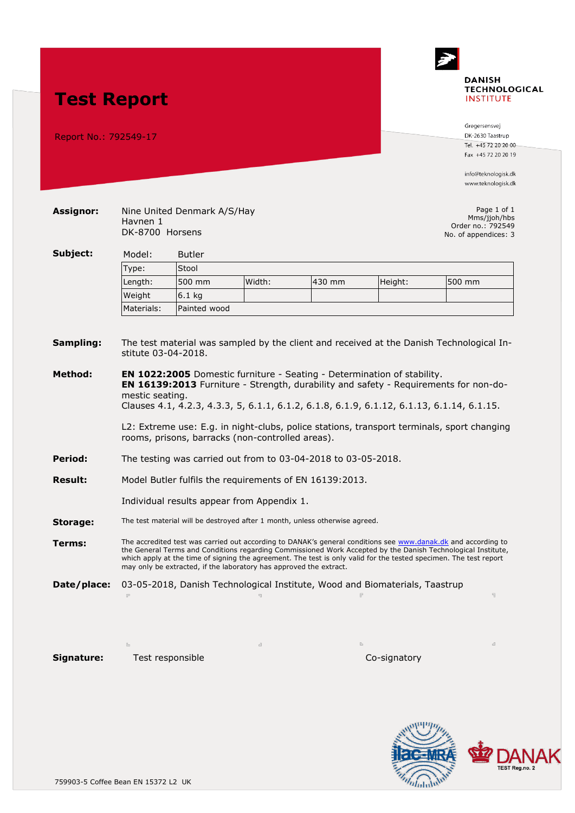

Report No.: 792549-17

**Assignor:** Nine United Denmark A/S/Hay Havnen 1

DK-8700 Horsens

**Test Report**

DK-2630 Taastrup Tel. +45 72 20 20 00 Fax +45 72 20 20 19

info@teknologisk.dk www.teknologisk.dk

Page 1 of 1 Mms/jjoh/hbs Order no.: 792549 No. of appendices: 3

|          | _          |               | <b>NO.</b> OF appendices. J |        |         |        |
|----------|------------|---------------|-----------------------------|--------|---------|--------|
| Subject: | Model:     | <b>Butler</b> |                             |        |         |        |
|          | Type:      | Stool         |                             |        |         |        |
|          | Length:    | 500 mm        | Width:                      | 430 mm | Height: | 500 mm |
|          | Weight     | $6.1$ kg      |                             |        |         |        |
|          | Materials: | Painted wood  |                             |        |         |        |

## **Sampling:** The test material was sampled by the client and received at the Danish Technological Institute 03-04-2018.

**Method: EN 1022:2005** Domestic furniture - Seating - Determination of stability. **EN 16139:2013** Furniture - Strength, durability and safety - Requirements for non-domestic seating.

Clauses 4.1, 4.2.3, 4.3.3, 5, 6.1.1, 6.1.2, 6.1.8, 6.1.9, 6.1.12, 6.1.13, 6.1.14, 6.1.15.

L2: Extreme use: E.g. in night-clubs, police stations, transport terminals, sport changing rooms, prisons, barracks (non-controlled areas).

- **Period:** The testing was carried out from to 03-04-2018 to 03-05-2018.
- **Result:** Model Butler fulfils the requirements of EN 16139:2013.

Individual results appear from Appendix 1.

**Storage:** The test material will be destroyed after 1 month, unless otherwise agreed.

**Terms:** The accredited test was carried out according to DANAK's general conditions see [www.danak.dk](http://www.danak.dk/) and according to the General Terms and Conditions regarding Commissioned Work Accepted by the Danish Technological Institute, which apply at the time of signing the agreement. The test is only valid for the tested specimen. The test report may only be extracted, if the laboratory has approved the extract.

**Date/place:** 03-05-2018, Danish Technological Institute, Wood and Biomaterials, Taastrup

Naotin State

**Signature:** Test responsible Co-signatory

bhaise  $\omega_i\omega\Omega\dot{\nu}$ 

 $\begin{array}{c} \big\{\end{array}$  Jesper Bruhn Johansen<br>Ph. Direct: +45 72 20 34 69 E-mail: jijoh@teknologisk.dk